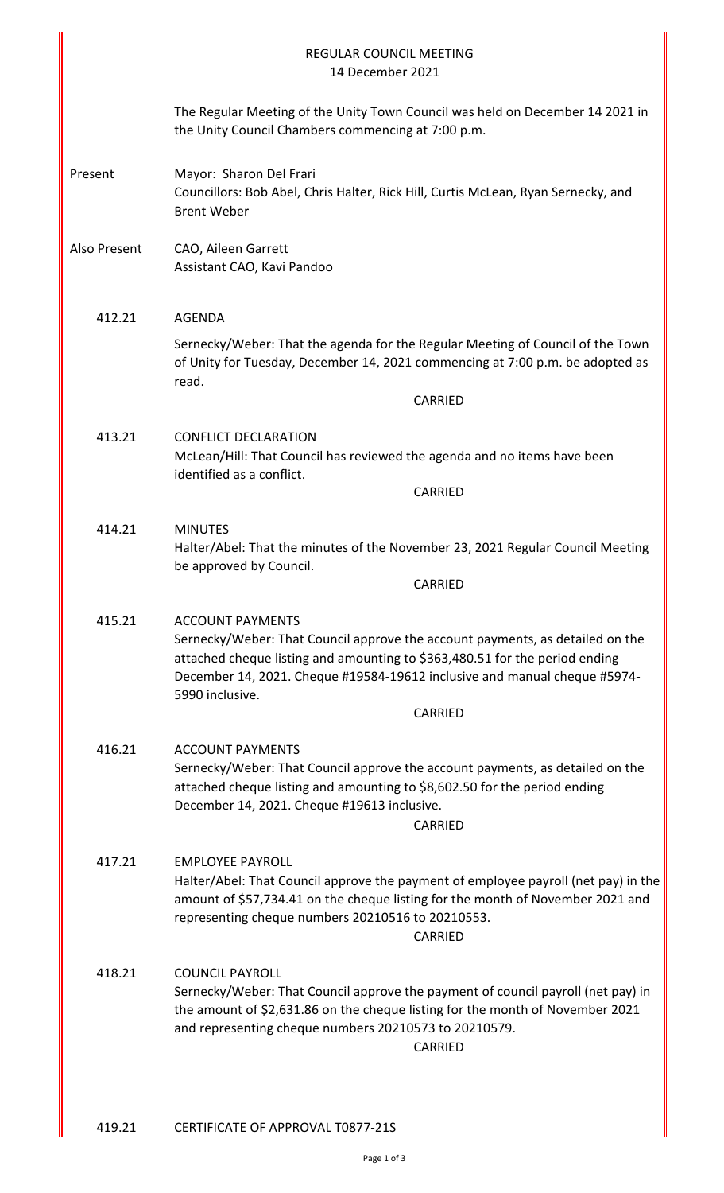|              | <b>REGULAR COUNCIL MEETING</b><br>14 December 2021                                                                                                                                                                                                                                                 |
|--------------|----------------------------------------------------------------------------------------------------------------------------------------------------------------------------------------------------------------------------------------------------------------------------------------------------|
|              | The Regular Meeting of the Unity Town Council was held on December 14 2021 in<br>the Unity Council Chambers commencing at 7:00 p.m.                                                                                                                                                                |
| Present      | Mayor: Sharon Del Frari<br>Councillors: Bob Abel, Chris Halter, Rick Hill, Curtis McLean, Ryan Sernecky, and<br><b>Brent Weber</b>                                                                                                                                                                 |
| Also Present | CAO, Aileen Garrett<br>Assistant CAO, Kavi Pandoo                                                                                                                                                                                                                                                  |
| 412.21       | <b>AGENDA</b>                                                                                                                                                                                                                                                                                      |
|              | Sernecky/Weber: That the agenda for the Regular Meeting of Council of the Town<br>of Unity for Tuesday, December 14, 2021 commencing at 7:00 p.m. be adopted as<br>read.                                                                                                                           |
|              | CARRIED                                                                                                                                                                                                                                                                                            |
| 413.21       | <b>CONFLICT DECLARATION</b><br>McLean/Hill: That Council has reviewed the agenda and no items have been<br>identified as a conflict.                                                                                                                                                               |
|              | <b>CARRIED</b>                                                                                                                                                                                                                                                                                     |
| 414.21       | <b>MINUTES</b><br>Halter/Abel: That the minutes of the November 23, 2021 Regular Council Meeting<br>be approved by Council.                                                                                                                                                                        |
|              | <b>CARRIED</b>                                                                                                                                                                                                                                                                                     |
| 415.21       | <b>ACCOUNT PAYMENTS</b><br>Sernecky/Weber: That Council approve the account payments, as detailed on the<br>attached cheque listing and amounting to \$363,480.51 for the period ending<br>December 14, 2021. Cheque #19584-19612 inclusive and manual cheque #5974-<br>5990 inclusive.<br>CARRIED |
| 416.21       | <b>ACCOUNT PAYMENTS</b>                                                                                                                                                                                                                                                                            |
|              | Sernecky/Weber: That Council approve the account payments, as detailed on the<br>attached cheque listing and amounting to \$8,602.50 for the period ending<br>December 14, 2021. Cheque #19613 inclusive.<br>CARRIED                                                                               |
| 417.21       | <b>EMPLOYEE PAYROLL</b><br>Halter/Abel: That Council approve the payment of employee payroll (net pay) in the<br>amount of \$57,734.41 on the cheque listing for the month of November 2021 and<br>representing cheque numbers 20210516 to 20210553.<br>CARRIED                                    |
| 418.21       | <b>COUNCIL PAYROLL</b><br>Sernecky/Weber: That Council approve the payment of council payroll (net pay) in<br>the amount of \$2,631.86 on the cheque listing for the month of November 2021<br>and representing cheque numbers 20210573 to 20210579.<br>CARRIED                                    |
|              |                                                                                                                                                                                                                                                                                                    |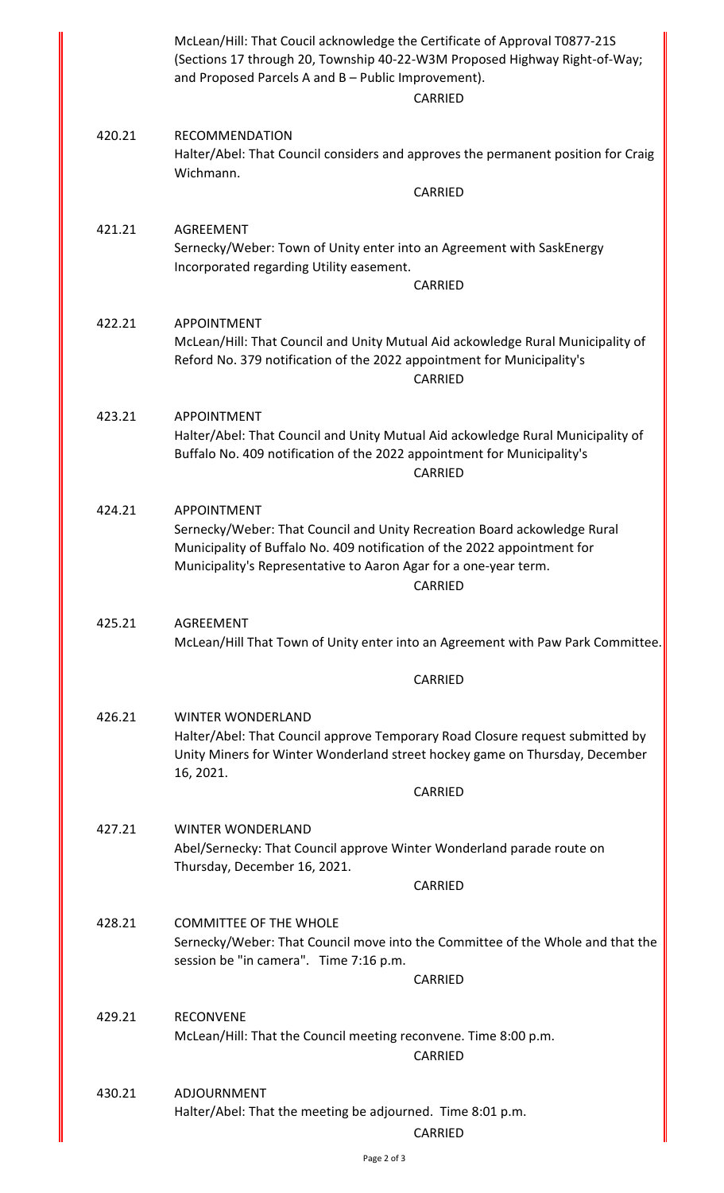|        | McLean/Hill: That Coucil acknowledge the Certificate of Approval T0877-21S<br>(Sections 17 through 20, Township 40-22-W3M Proposed Highway Right-of-Way;<br>and Proposed Parcels A and B - Public Improvement).<br>CARRIED                                       |
|--------|------------------------------------------------------------------------------------------------------------------------------------------------------------------------------------------------------------------------------------------------------------------|
| 420.21 | <b>RECOMMENDATION</b><br>Halter/Abel: That Council considers and approves the permanent position for Craig<br>Wichmann.                                                                                                                                          |
|        | <b>CARRIED</b>                                                                                                                                                                                                                                                   |
| 421.21 | <b>AGREEMENT</b><br>Sernecky/Weber: Town of Unity enter into an Agreement with SaskEnergy<br>Incorporated regarding Utility easement.<br><b>CARRIED</b>                                                                                                          |
|        |                                                                                                                                                                                                                                                                  |
| 422.21 | <b>APPOINTMENT</b><br>McLean/Hill: That Council and Unity Mutual Aid ackowledge Rural Municipality of<br>Reford No. 379 notification of the 2022 appointment for Municipality's<br><b>CARRIED</b>                                                                |
| 423.21 | <b>APPOINTMENT</b><br>Halter/Abel: That Council and Unity Mutual Aid ackowledge Rural Municipality of<br>Buffalo No. 409 notification of the 2022 appointment for Municipality's<br>CARRIED                                                                      |
| 424.21 | <b>APPOINTMENT</b><br>Sernecky/Weber: That Council and Unity Recreation Board ackowledge Rural<br>Municipality of Buffalo No. 409 notification of the 2022 appointment for<br>Municipality's Representative to Aaron Agar for a one-year term.<br><b>CARRIED</b> |
| 425.21 | <b>AGREEMENT</b><br>McLean/Hill That Town of Unity enter into an Agreement with Paw Park Committee.                                                                                                                                                              |
|        | <b>CARRIED</b>                                                                                                                                                                                                                                                   |
|        |                                                                                                                                                                                                                                                                  |
| 426.21 | <b>WINTER WONDERLAND</b><br>Halter/Abel: That Council approve Temporary Road Closure request submitted by<br>Unity Miners for Winter Wonderland street hockey game on Thursday, December<br>16, 2021.                                                            |
|        | <b>CARRIED</b>                                                                                                                                                                                                                                                   |
| 427.21 | <b>WINTER WONDERLAND</b><br>Abel/Sernecky: That Council approve Winter Wonderland parade route on<br>Thursday, December 16, 2021.                                                                                                                                |
|        | CARRIED                                                                                                                                                                                                                                                          |
| 428.21 | <b>COMMITTEE OF THE WHOLE</b><br>Sernecky/Weber: That Council move into the Committee of the Whole and that the<br>session be "in camera". Time 7:16 p.m.                                                                                                        |
|        | CARRIED                                                                                                                                                                                                                                                          |
| 429.21 | <b>RECONVENE</b><br>McLean/Hill: That the Council meeting reconvene. Time 8:00 p.m.<br>CARRIED                                                                                                                                                                   |
|        |                                                                                                                                                                                                                                                                  |
| 430.21 | ADJOURNMENT<br>Halter/Abel: That the meeting be adjourned. Time 8:01 p.m.<br>CARRIED                                                                                                                                                                             |